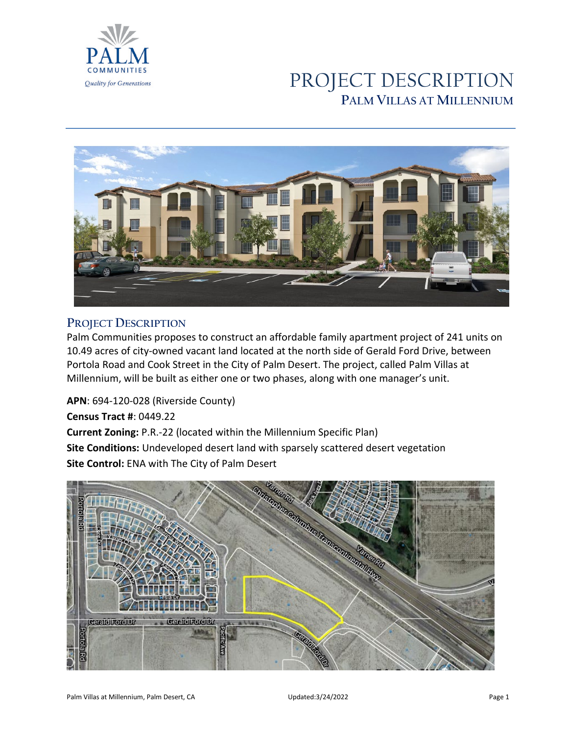

# PROJECT DESCRIPTION **PALM VILLAS AT MILLENNIUM**



### **PROJECT DESCRIPTION**

Palm Communities proposes to construct an affordable family apartment project of 241 units on 10.49 acres of city-owned vacant land located at the north side of Gerald Ford Drive, between Portola Road and Cook Street in the City of Palm Desert. The project, called Palm Villas at Millennium, will be built as either one or two phases, along with one manager's unit.

**APN**: 694-120-028 (Riverside County) **Census Tract #**: 0449.22 **Current Zoning:** P.R.-22 (located within the Millennium Specific Plan) **Site Conditions:** Undeveloped desert land with sparsely scattered desert vegetation **Site Control:** ENA with The City of Palm Desert

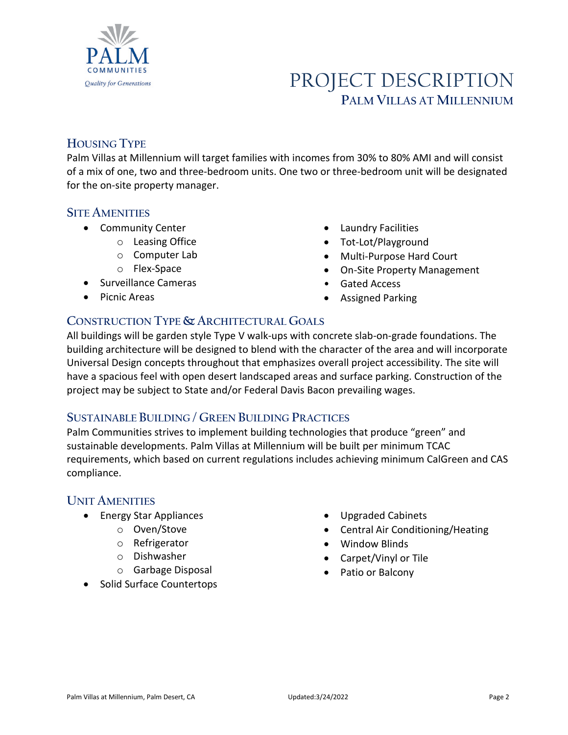

# PROJECT DESCRIPTION **PALM VILLAS AT MILLENNIUM**

### **HOUSING TYPE**

Palm Villas at Millennium will target families with incomes from 30% to 80% AMI and will consist of a mix of one, two and three-bedroom units. One two or three-bedroom unit will be designated for the on-site property manager.

### **SITE AMENITIES**

- Community Center
	- o Leasing Office
		- o Computer Lab
		- o Flex-Space
- Surveillance Cameras
- Picnic Areas
- Laundry Facilities
- Tot-Lot/Playground
- Multi-Purpose Hard Court
- On-Site Property Management
- Gated Access
- Assigned Parking

## **CONSTRUCTION TYPE & ARCHITECTURAL GOALS**

All buildings will be garden style Type V walk-ups with concrete slab-on-grade foundations. The building architecture will be designed to blend with the character of the area and will incorporate Universal Design concepts throughout that emphasizes overall project accessibility. The site will have a spacious feel with open desert landscaped areas and surface parking. Construction of the project may be subject to State and/or Federal Davis Bacon prevailing wages.

### **SUSTAINABLE BUILDING / GREEN BUILDING PRACTICES**

Palm Communities strives to implement building technologies that produce "green" and sustainable developments. Palm Villas at Millennium will be built per minimum TCAC requirements, which based on current regulations includes achieving minimum CalGreen and CAS compliance.

### **UNIT AMENITIES**

- Energy Star Appliances
	- o Oven/Stove
	- o Refrigerator
	- o Dishwasher
	- o Garbage Disposal
- Solid Surface Countertops
- Upgraded Cabinets
- Central Air Conditioning/Heating
- Window Blinds
- Carpet/Vinyl or Tile
- Patio or Balcony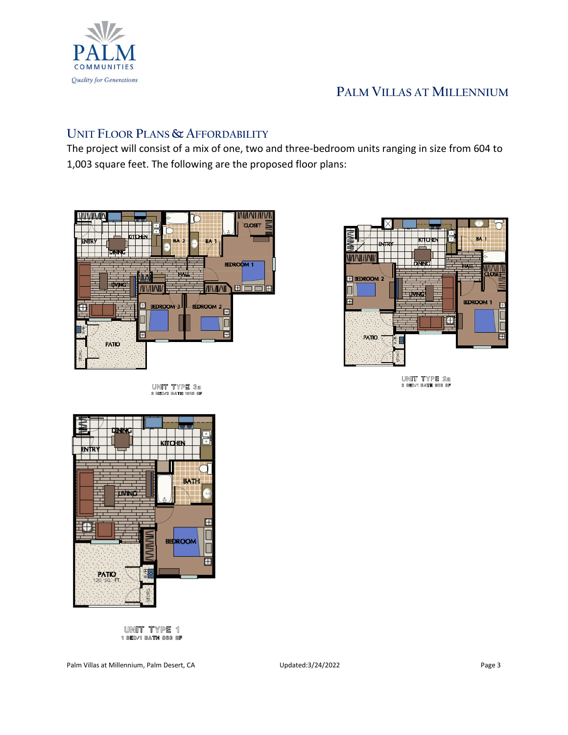

# **PALM VILLAS AT MILLENNIUM**

### **UNIT FLOOR PLANS & AFFORDABILITY**

The project will consist of a mix of one, two and three-bedroom units ranging in size from 604 to 1,003 square feet. The following are the proposed floor plans:



UNIT TYPE 38<br>3 Bed/2 Bath 1015 Sf



UNIT TYPE 20<br>2 bed/1 bath 803 sf



UNIT TYPE 1 1 BED/1 BATH 563 SF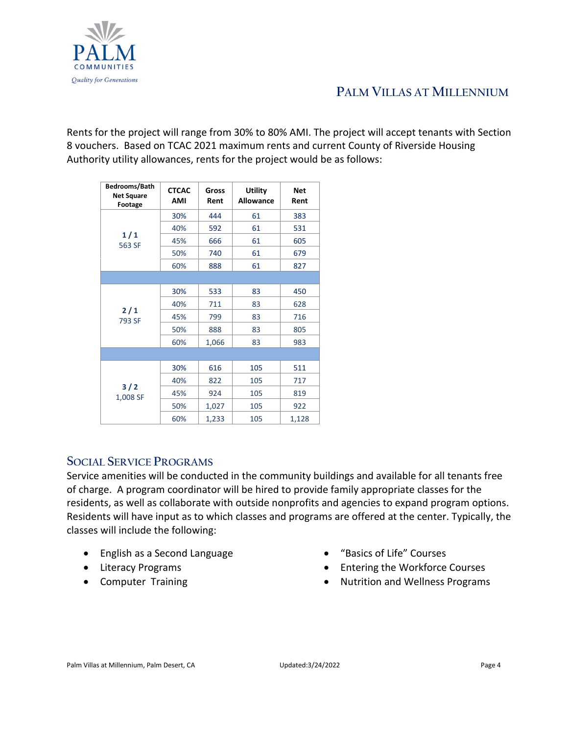

# **PALM VILLAS AT MILLENNIUM**

Rents for the project will range from 30% to 80% AMI. The project will accept tenants with Section 8 vouchers. Based on TCAC 2021 maximum rents and current County of Riverside Housing Authority utility allowances, rents for the project would be as follows:

| Bedrooms/Bath<br><b>Net Square</b><br>Footage | <b>CTCAC</b><br><b>AMI</b> | Gross<br>Rent | <b>Utility</b><br><b>Allowance</b> | Net<br>Rent |
|-----------------------------------------------|----------------------------|---------------|------------------------------------|-------------|
| 1/1<br>563 SF                                 | 30%                        | 444           | 61                                 | 383         |
|                                               | 40%                        | 592           | 61                                 | 531         |
|                                               | 45%                        | 666           | 61                                 | 605         |
|                                               | 50%                        | 740           | 61                                 | 679         |
|                                               | 60%                        | 888           | 61                                 | 827         |
|                                               |                            |               |                                    |             |
| 2/1<br>793 SF                                 | 30%                        | 533           | 83                                 | 450         |
|                                               | 40%                        | 711           | 83                                 | 628         |
|                                               | 45%                        | 799           | 83                                 | 716         |
|                                               | 50%                        | 888           | 83                                 | 805         |
|                                               | 60%                        | 1,066         | 83                                 | 983         |
|                                               |                            |               |                                    |             |
| 3/2<br>1,008 SF                               | 30%                        | 616           | 105                                | 511         |
|                                               | 40%                        | 822           | 105                                | 717         |
|                                               | 45%                        | 924           | 105                                | 819         |
|                                               | 50%                        | 1,027         | 105                                | 922         |
|                                               | 60%                        | 1,233         | 105                                | 1,128       |

### **SOCIAL SERVICE PROGRAMS**

Service amenities will be conducted in the community buildings and available for all tenants free of charge. A program coordinator will be hired to provide family appropriate classes for the residents, as well as collaborate with outside nonprofits and agencies to expand program options. Residents will have input as to which classes and programs are offered at the center. Typically, the classes will include the following:

- English as a Second Language
- Literacy Programs
- Computer Training
- "Basics of Life" Courses
- Entering the Workforce Courses
- Nutrition and Wellness Programs